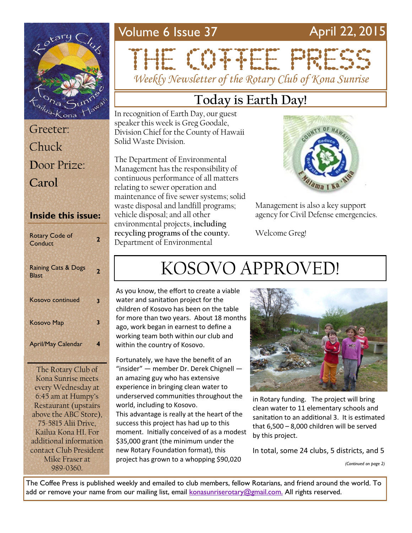### Volume 6 Issue 37 April 22, 2015



Greeter: Chuck **D**oor Prize: **Carol**

#### **Inside this issue:**

| <b>Rotary Code of</b><br>Conduct               | 2 |
|------------------------------------------------|---|
| <b>Raining Cats &amp; Dogs</b><br><b>Blast</b> | 2 |
| <b>Kosovo continued</b>                        | 3 |
| <b>Kosovo Map</b>                              | 3 |
| <b>April/May Calendar</b>                      |   |

The Rotary Club of Kona Sunrise meets every Wednesday at 6:45 am at Humpy's Restaurant (upstairs above the ABC Store), 75-5815 Alii Drive, Kailua Kona HI. For additional information contact Club President Mike Fraser at 989-0360.

# THE CONFIDENTIAL *Weekly Newsletter of the Rotary Club of Kona Sunrise*

## **Today is Earth Day!**

In recognition of Earth Day, our guest speaker this week is Greg Goodale, Division Chief for the County of Hawaii Solid Waste Division.

The Department of Environmental Management has the responsibility of continuous performance of all matters relating to sewer operation and maintenance of five sewer systems; solid waste disposal and landfill programs; vehicle disposal; and all other environmental projects, **including recycling programs of the county.**  Department of Environmental



Management is also a key support agency for Civil Defense emergencies.

Welcome Greg!

# KOSOVO APPROVED!

As you know, the effort to create a viable water and sanitation project for the children of Kosovo has been on the table for more than two years. About 18 months ago, work began in earnest to define a working team both within our club and within the country of Kosovo.

Fortunately, we have the benefit of an "insider" — member Dr. Derek Chignell an amazing guy who has extensive experience in bringing clean water to underserved communities throughout the world, including to Kosovo.

This advantage is really at the heart of the success this project has had up to this moment. Initially conceived of as a modest \$35,000 grant (the minimum under the new Rotary Foundation format), this project has grown to a whopping \$90,020



in Rotary funding. The project will bring clean water to 11 elementary schools and sanitation to an additional 3. It is estimated that 6,500 – 8,000 children will be served by this project.

In total, some 24 clubs, 5 districts, and 5

*(Continued on page 2)*

The Coffee Press is published weekly and emailed to club members, fellow Rotarians, and friend around the world. To add or remove your name from our mailing list, email [konasunriserotary@gmail.com.](mailto:konasunriserotary@gmail.com.) All rights reserved.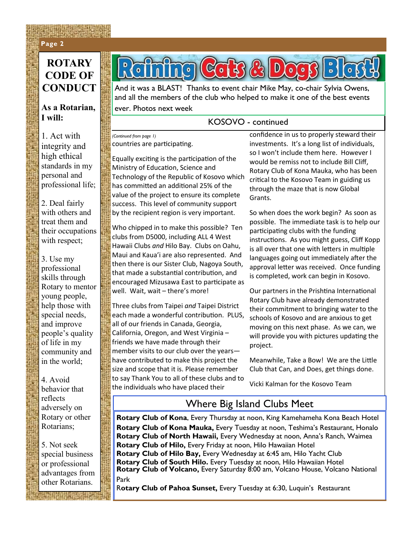#### **Page 2 Page 2**

### **ROTARY CODE OF CONDUCT**

**WARRAN** 

#### **As a Rotarian, I will:**

1. Act with integrity and high ethical standards in my personal and professional life;

2. Deal fairly with others and treat them and their occupations with respect;

3. Use my professional skills through Rotary to mentor young people, help those with special needs, and improve people's quality of life in my community and in the world;

4. Avoid behavior that reflects adversely on Rotary or other Rotarians;

5. Not seek special business or professional advantages from other Rotarians.

 $G$   $\cap$   $R$   $\cap$   $\cap$   $\cap$   $\cap$  $\bigcap$ 

And it was a BLAST! Thanks to event chair Mike May, co-chair Sylvia Owens, and all the members of the club who helped to make it one of the best events ever. Photos next week

#### KOSOVO - continued

countries are participating. *(Continued from page 1)*

Equally exciting is the participation of the Ministry of Education, Science and Technology of the Republic of Kosovo which has committed an additional 25% of the value of the project to ensure its complete success. This level of community support by the recipient region is very important.

Who chipped in to make this possible? Ten clubs from D5000, including ALL 4 West Hawaii Clubs *and* Hilo Bay. Clubs on Oahu, Maui and Kaua'i are also represented. And then there is our Sister Club, Nagoya South, that made a substantial contribution, and encouraged Mizusawa East to participate as well. Wait, wait – there's more!

Three clubs from Taipei *and* Taipei District each made a wonderful contribution. PLUS, all of our friends in Canada, Georgia, California, Oregon, and West Virginia – friends we have made through their member visits to our club over the years have contributed to make this project the size and scope that it is. Please remember to say Thank You to all of these clubs and to the individuals who have placed their

confidence in us to properly steward their investments. It's a long list of individuals, so I won't include them here. However I would be remiss not to include Bill Cliff, Rotary Club of Kona Mauka, who has been critical to the Kosovo Team in guiding us through the maze that is now Global Grants.

So when does the work begin? As soon as possible. The immediate task is to help our participating clubs with the funding instructions. As you might guess, Cliff Kopp is all over that one with letters in multiple languages going out immediately after the approval letter was received. Once funding is completed, work can begin in Kosovo.

Our partners in the Prishtina International Rotary Club have already demonstrated their commitment to bringing water to the schools of Kosovo and are anxious to get moving on this next phase. As we can, we will provide you with pictures updating the project.

Meanwhile, Take a Bow! We are the Little Club that Can, and Does, get things done.

Vicki Kalman for the Kosovo Team

### Where Big Island Clubs Meet

**Rotary Club of Kona**, Every Thursday at noon, King Kamehameha Kona Beach Hotel **Rotary Club of Kona Mauka,** Every Tuesday at noon, Teshima's Restaurant, Honalo **Rotary Club of North Hawaii,** Every Wednesday at noon, Anna's Ranch, Waimea **Rotary Club of Hilo,** Every Friday at noon, Hilo Hawaiian Hotel **Rotary Club of Hilo Bay,** Every Wednesday at 6:45 am, Hilo Yacht Club **Rotary Club of South Hilo.** Every Tuesday at noon, Hilo Hawaiian Hotel **Rotary Club of Volcano,** Every Saturday 8:00 am, Volcano House, Volcano National Park

R**otary Club of Pahoa Sunset,** Every Tuesday at 6:30, Luquin's Restaurant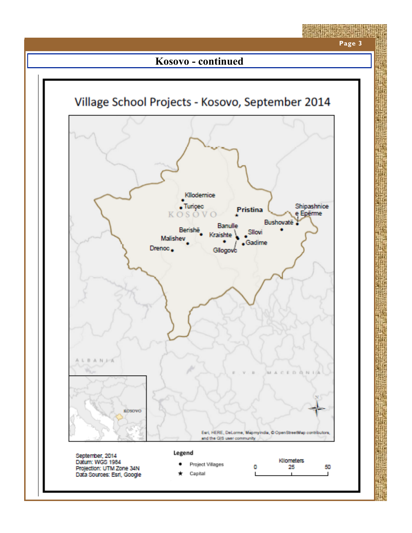